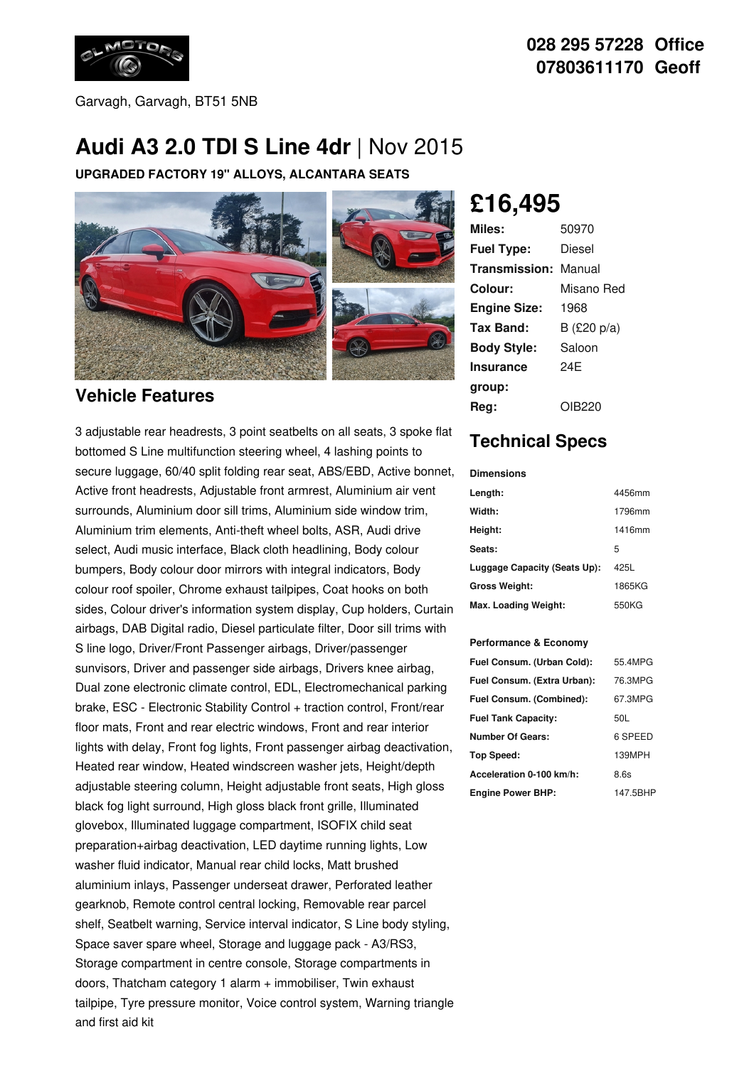

### **028 295 57228 Office 07803611170 Geoff**

Garvagh, Garvagh, BT51 5NB

# **Audi A3 2.0 TDI S Line 4dr** |Nov 2015

**UPGRADED FACTORY 19" ALLOYS, ALCANTARA SEATS**



#### **Vehicle Features**

3 adjustable rear headrests, 3 point seatbelts on all seats, 3 spoke flat bottomed S Line multifunction steering wheel, 4 lashing points to secure luggage, 60/40 split folding rear seat, ABS/EBD, Active bonnet, Active front headrests, Adjustable front armrest, Aluminium air vent surrounds, Aluminium door sill trims, Aluminium side window trim, Aluminium trim elements, Anti-theft wheel bolts, ASR, Audi drive select, Audi music interface, Black cloth headlining, Body colour bumpers, Body colour door mirrors with integral indicators, Body colour roof spoiler, Chrome exhaust tailpipes, Coat hooks on both sides, Colour driver's information system display, Cup holders, Curtain airbags, DAB Digital radio, Diesel particulate filter, Door sill trims with S line logo, Driver/Front Passenger airbags, Driver/passenger sunvisors, Driver and passenger side airbags, Drivers knee airbag, Dual zone electronic climate control, EDL, Electromechanical parking brake, ESC - Electronic Stability Control + traction control, Front/rear floor mats, Front and rear electric windows, Front and rear interior lights with delay, Front fog lights, Front passenger airbag deactivation, Heated rear window, Heated windscreen washer jets, Height/depth adjustable steering column, Height adjustable front seats, High gloss black fog light surround, High gloss black front grille, Illuminated glovebox, Illuminated luggage compartment, ISOFIX child seat preparation+airbag deactivation, LED daytime running lights, Low washer fluid indicator, Manual rear child locks, Matt brushed aluminium inlays, Passenger underseat drawer, Perforated leather gearknob, Remote control central locking, Removable rear parcel shelf, Seatbelt warning, Service interval indicator, S Line body styling, Space saver spare wheel, Storage and luggage pack - A3/RS3, Storage compartment in centre console, Storage compartments in doors, Thatcham category 1 alarm + immobiliser, Twin exhaust tailpipe, Tyre pressure monitor, Voice control system, Warning triangle and first aid kit

**£16,495**

| Miles:              | 50970       |
|---------------------|-------------|
| <b>Fuel Type:</b>   | Diesel      |
| Transmission:       | Manual      |
| Colour:             | Misano Red  |
| <b>Engine Size:</b> | 1968        |
| Tax Band:           | B (£20 p/a) |
| <b>Body Style:</b>  | Saloon      |
| Insurance           | 24F         |
| group:              |             |
| Rea:                | OIB220      |

## **Technical Specs**

**Dimensions**

| Length:                      | 4456mm |
|------------------------------|--------|
| Width:                       | 1796mm |
| Height:                      | 1416mm |
| Seats:                       | 5      |
| Luggage Capacity (Seats Up): | 425L   |
| <b>Gross Weight:</b>         | 1865KG |
| Max. Loading Weight:         | 550KG  |

#### **Performance & Economy**

| Fuel Consum. (Urban Cold):  | 55.4MPG  |
|-----------------------------|----------|
| Fuel Consum. (Extra Urban): | 76.3MPG  |
| Fuel Consum. (Combined):    | 67.3MPG  |
| <b>Fuel Tank Capacity:</b>  | 50L      |
| <b>Number Of Gears:</b>     | 6 SPEED  |
| Top Speed:                  | 139MPH   |
| Acceleration 0-100 km/h:    | 8.6s     |
| <b>Engine Power BHP:</b>    | 147.5BHP |